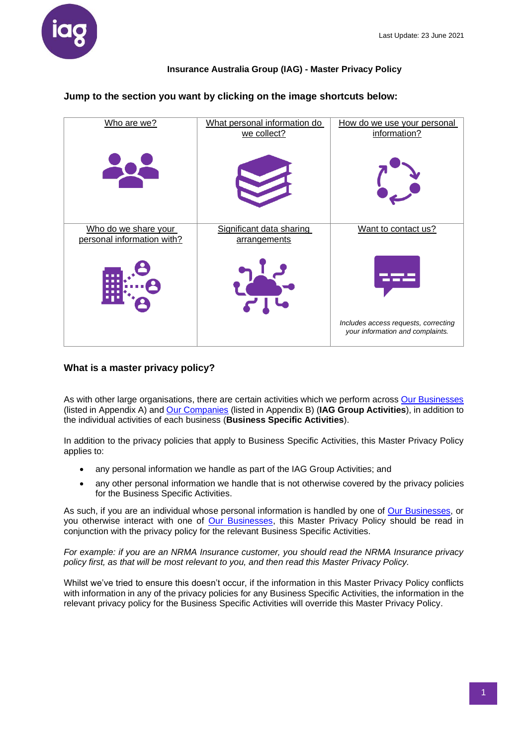

**Jump to the section you want by clicking on the image shortcuts below:**

| Who are we?                                        | What personal information do<br>we collect? | How do we use your personal<br>information?                              |
|----------------------------------------------------|---------------------------------------------|--------------------------------------------------------------------------|
|                                                    |                                             |                                                                          |
| Who do we share your<br>personal information with? | Significant data sharing<br>arrangements    | Want to contact us?                                                      |
|                                                    |                                             |                                                                          |
|                                                    |                                             | Includes access requests, correcting<br>your information and complaints. |

## **What is a master privacy policy?**

As with other large organisations, there are certain activities which we perform across [Our Businesses](#page-10-0) (listed in Appendix A) and [Our Companies](#page-11-0) (listed in Appendix B) (**IAG Group Activities**), in addition to the individual activities of each business (**Business Specific Activities**).

In addition to the privacy policies that apply to Business Specific Activities, this Master Privacy Policy applies to:

- any personal information we handle as part of the IAG Group Activities; and
- any other personal information we handle that is not otherwise covered by the privacy policies for the Business Specific Activities.

As such, if you are an individual whose personal information is handled by one of [Our Businesses,](#page-10-0) or you otherwise interact with one of [Our Businesses,](#page-10-0) this Master Privacy Policy should be read in conjunction with the privacy policy for the relevant Business Specific Activities.

*For example: if you are an NRMA Insurance customer, you should read the NRMA Insurance privacy policy first, as that will be most relevant to you, and then read this Master Privacy Policy.* 

Whilst we've tried to ensure this doesn't occur, if the information in this Master Privacy Policy conflicts with information in any of the privacy policies for any Business Specific Activities, the information in the relevant privacy policy for the Business Specific Activities will override this Master Privacy Policy.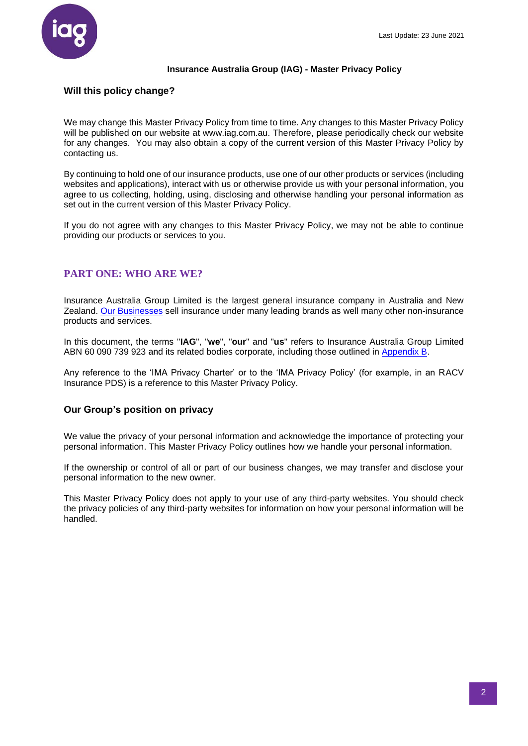

### **Will this policy change?**

We may change this Master Privacy Policy from time to time. Any changes to this Master Privacy Policy will be published on our website at www.iag.com.au. Therefore, please periodically check our website for any changes. You may also obtain a copy of the current version of this Master Privacy Policy by contacting us.

By continuing to hold one of our insurance products, use one of our other products or services (including websites and applications), interact with us or otherwise provide us with your personal information, you agree to us collecting, holding, using, disclosing and otherwise handling your personal information as set out in the current version of this Master Privacy Policy.

If you do not agree with any changes to this Master Privacy Policy, we may not be able to continue providing our products or services to you.

# **PART ONE: WHO ARE WE?**

Insurance Australia Group Limited is the largest general insurance company in Australia and New Zealand. [Our Businesses](#page-10-0) sell insurance under many leading brands as well many other non-insurance products and services.

In this document, the terms "**IAG**", "**we**", "**our**" and "**us**" refers to Insurance Australia Group Limited ABN 60 090 739 923 and its related bodies corporate, including those outlined in [Appendix B.](#page-11-0)

Any reference to the 'IMA Privacy Charter' or to the 'IMA Privacy Policy' (for example, in an RACV Insurance PDS) is a reference to this Master Privacy Policy.

### **Our Group's position on privacy**

We value the privacy of your personal information and acknowledge the importance of protecting your personal information. This Master Privacy Policy outlines how we handle your personal information.

If the ownership or control of all or part of our business changes, we may transfer and disclose your personal information to the new owner.

This Master Privacy Policy does not apply to your use of any third-party websites. You should check the privacy policies of any third-party websites for information on how your personal information will be handled.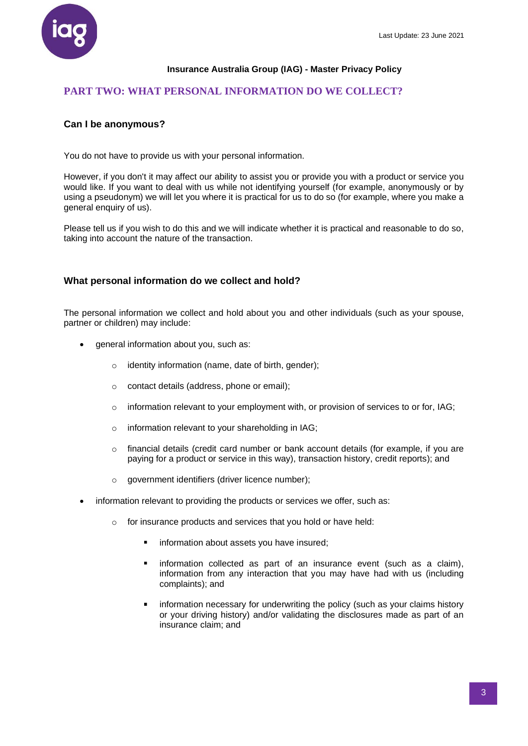

# **PART TWO: WHAT PERSONAL INFORMATION DO WE COLLECT?**

## **Can I be anonymous?**

You do not have to provide us with your personal information.

However, if you don't it may affect our ability to assist you or provide you with a product or service you would like. If you want to deal with us while not identifying yourself (for example, anonymously or by using a pseudonym) we will let you where it is practical for us to do so (for example, where you make a general enquiry of us).

Please tell us if you wish to do this and we will indicate whether it is practical and reasonable to do so, taking into account the nature of the transaction.

## **What personal information do we collect and hold?**

The personal information we collect and hold about you and other individuals (such as your spouse, partner or children) may include:

- general information about you, such as:
	- $\circ$  identity information (name, date of birth, gender);
	- o contact details (address, phone or email);
	- $\circ$  information relevant to your employment with, or provision of services to or for, IAG;
	- o information relevant to your shareholding in IAG;
	- o financial details (credit card number or bank account details (for example, if you are paying for a product or service in this way), transaction history, credit reports); and
	- o government identifiers (driver licence number);
- information relevant to providing the products or services we offer, such as:
	- o for insurance products and services that you hold or have held:
		- $\blacksquare$ information about assets you have insured;
		- information collected as part of an insurance event (such as a claim),  $\blacksquare$ information from any interaction that you may have had with us (including complaints); and
		- information necessary for underwriting the policy (such as your claims history or your driving history) and/or validating the disclosures made as part of an insurance claim; and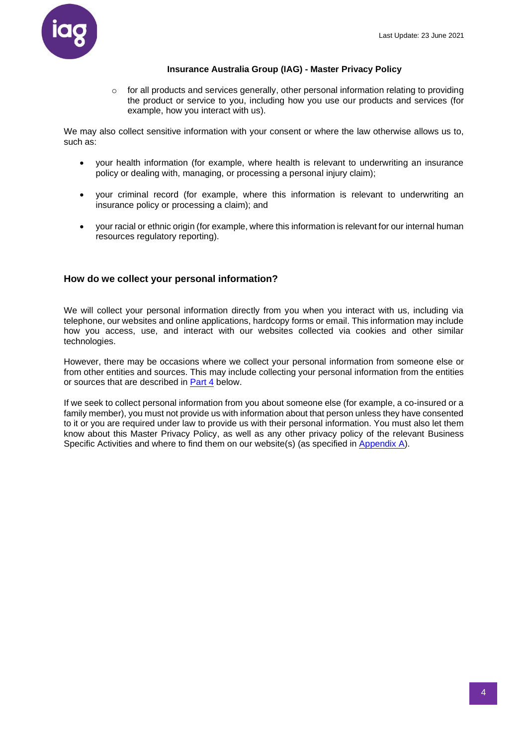

 $\circ$  for all products and services generally, other personal information relating to providing the product or service to you, including how you use our products and services (for example, how you interact with us).

We may also collect sensitive information with your consent or where the law otherwise allows us to, such as:

- your health information (for example, where health is relevant to underwriting an insurance policy or dealing with, managing, or processing a personal injury claim);
- your criminal record (for example, where this information is relevant to underwriting an insurance policy or processing a claim); and
- your racial or ethnic origin(for example, where this information is relevant for our internal human resources regulatory reporting).

## **How do we collect your personal information?**

We will collect your personal information directly from you when you interact with us, including via telephone, our websites and online applications, hardcopy forms or email. This information may include how you access, use, and interact with our websites collected via cookies and other similar technologies.

However, there may be occasions where we collect your personal information from someone else or from other entities and sources. This may include collecting your personal information from the entities or sources that are described in **Part 4** below.

If we seek to collect personal information from you about someone else (for example, a co-insured or a family member), you must not provide us with information about that person unless they have consented to it or you are required under law to provide us with their personal information. You must also let them know about this Master Privacy Policy, as well as any other privacy policy of the relevant Business Specific Activities and where to find them on our website(s) (as specified in [Appendix A\)](#page-10-0).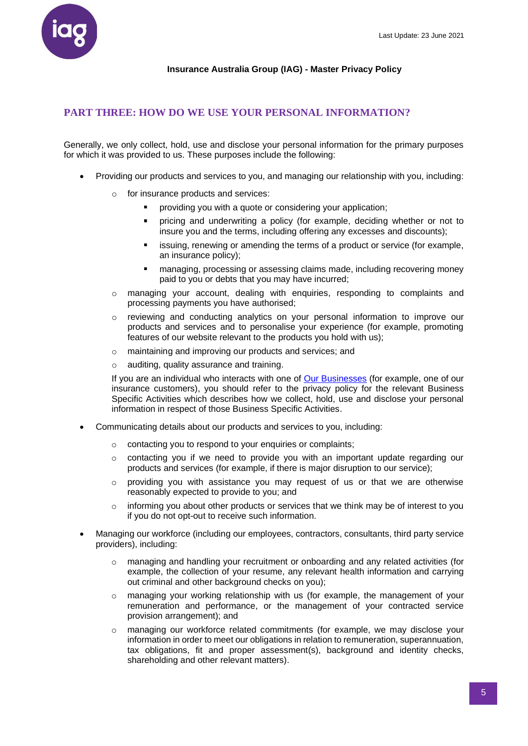

# <span id="page-4-0"></span>**PART THREE: HOW DO WE USE YOUR PERSONAL INFORMATION?**

Generally, we only collect, hold, use and disclose your personal information for the primary purposes for which it was provided to us. These purposes include the following:

- Providing our products and services to you, and managing our relationship with you, including:
	- o for insurance products and services:
		- providing you with a quote or considering your application;
		- $\blacksquare$ pricing and underwriting a policy (for example, deciding whether or not to insure you and the terms, including offering any excesses and discounts);
		- issuing, renewing or amending the terms of a product or service (for example, an insurance policy);
		- managing, processing or assessing claims made, including recovering money paid to you or debts that you may have incurred;
	- o managing your account, dealing with enquiries, responding to complaints and processing payments you have authorised;
	- o reviewing and conducting analytics on your personal information to improve our products and services and to personalise your experience (for example, promoting features of our website relevant to the products you hold with us);
	- o maintaining and improving our products and services; and
	- o auditing, quality assurance and training.

If you are an individual who interacts with one of [Our Businesses](#page-10-0) (for example, one of our insurance customers), you should refer to the privacy policy for the relevant Business Specific Activities which describes how we collect, hold, use and disclose your personal information in respect of those Business Specific Activities.

- Communicating details about our products and services to you, including:
	- o contacting you to respond to your enquiries or complaints;
	- o contacting you if we need to provide you with an important update regarding our products and services (for example, if there is major disruption to our service);
	- providing you with assistance you may request of us or that we are otherwise reasonably expected to provide to you; and
	- $\circ$  informing you about other products or services that we think may be of interest to you if you do not opt-out to receive such information.
- Managing our workforce (including our employees, contractors, consultants, third party service providers), including:
	- managing and handling your recruitment or onboarding and any related activities (for example, the collection of your resume, any relevant health information and carrying out criminal and other background checks on you);
	- o managing your working relationship with us (for example, the management of your remuneration and performance, or the management of your contracted service provision arrangement); and
	- managing our workforce related commitments (for example, we may disclose your information in order to meet our obligations in relation to remuneration, superannuation, tax obligations, fit and proper assessment(s), background and identity checks, shareholding and other relevant matters).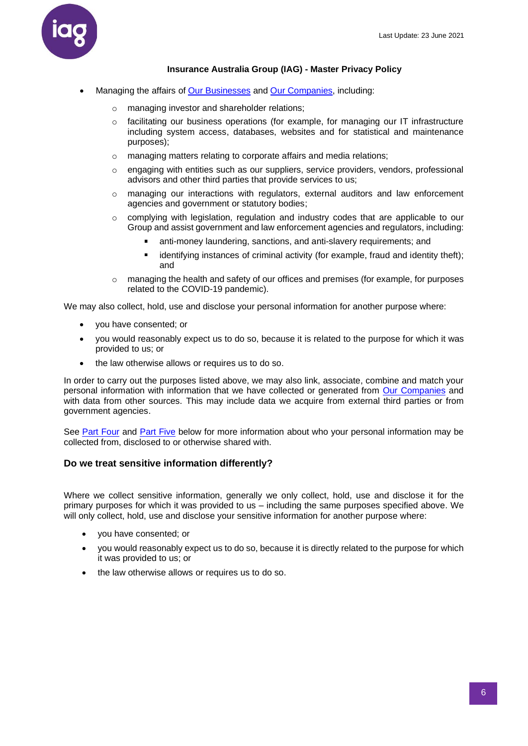

- Managing the affairs of [Our Businesses](#page-10-0) and [Our Companies,](#page-11-0) including:
	- o managing investor and shareholder relations;
	- $\circ$  facilitating our business operations (for example, for managing our IT infrastructure including system access, databases, websites and for statistical and maintenance purposes);
	- o managing matters relating to corporate affairs and media relations;
	- $\circ$  engaging with entities such as our suppliers, service providers, vendors, professional advisors and other third parties that provide services to us;
	- $\circ$  managing our interactions with regulators, external auditors and law enforcement agencies and government or statutory bodies;
	- o complying with legislation, regulation and industry codes that are applicable to our Group and assist government and law enforcement agencies and regulators, including:
		- $\blacksquare$ anti-money laundering, sanctions, and anti-slavery requirements; and
		- $\blacksquare$ identifying instances of criminal activity (for example, fraud and identity theft); and
	- o managing the health and safety of our offices and premises (for example, for purposes related to the COVID-19 pandemic).

We may also collect, hold, use and disclose your personal information for another purpose where:

- you have consented; or
- you would reasonably expect us to do so, because it is related to the purpose for which it was provided to us; or
- the law otherwise allows or requires us to do so.

In order to carry out the purposes listed above, we may also link, associate, combine and match your personal information with information that we have collected or generated from [Our Companies](#page-11-0) and with data from other sources. This may include data we acquire from external third parties or from government agencies.

See [Part Four](#page-6-0) and [Part Five](#page-7-0) below for more information about who your personal information may be collected from, disclosed to or otherwise shared with.

### **Do we treat sensitive information differently?**

Where we collect sensitive information, generally we only collect, hold, use and disclose it for the primary purposes for which it was provided to us – including the same purposes specified above. We will only collect, hold, use and disclose your sensitive information for another purpose where:

- you have consented; or
- you would reasonably expect us to do so, because it is directly related to the purpose for which it was provided to us; or
- the law otherwise allows or requires us to do so.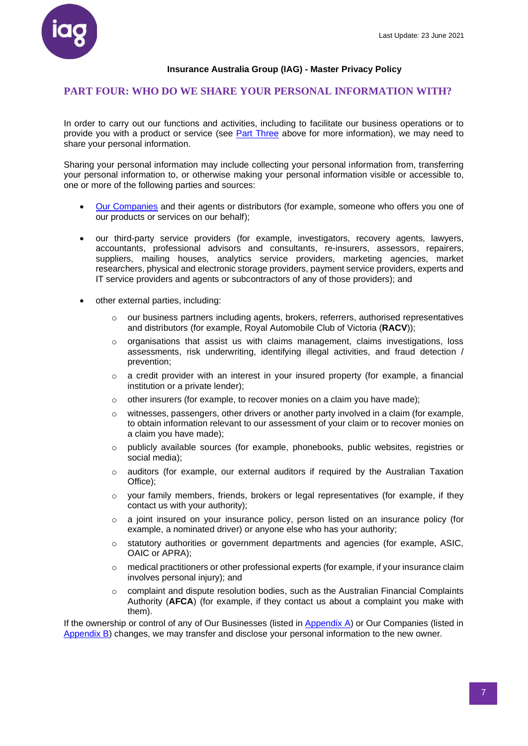

#### <span id="page-6-0"></span>**PART FOUR: WHO DO WE SHARE YOUR PERSONAL INFORMATION WITH?**

In order to carry out our functions and activities, including to facilitate our business operations or to provide you with a product or service (see [Part Three](#page-4-0) above for more information), we may need to share your personal information.

Sharing your personal information may include collecting your personal information from, transferring your personal information to, or otherwise making your personal information visible or accessible to, one or more of the following parties and sources:

- [Our Companies](#page-11-0) and their agents or distributors (for example, someone who offers you one of our products or services on our behalf);
- our third-party service providers (for example, investigators, recovery agents, lawyers, accountants, professional advisors and consultants, re-insurers, assessors, repairers, suppliers, mailing houses, analytics service providers, marketing agencies, market researchers, physical and electronic storage providers, payment service providers, experts and IT service providers and agents or subcontractors of any of those providers); and
- other external parties, including:
	- $\circ$  our business partners including agents, brokers, referrers, authorised representatives and distributors (for example, Royal Automobile Club of Victoria (**RACV**));
	- $\circ$  organisations that assist us with claims management, claims investigations, loss assessments, risk underwriting, identifying illegal activities, and fraud detection / prevention;
	- $\circ$  a credit provider with an interest in your insured property (for example, a financial institution or a private lender);
	- $\circ$  other insurers (for example, to recover monies on a claim you have made);
	- $\circ$  witnesses, passengers, other drivers or another party involved in a claim (for example, to obtain information relevant to our assessment of your claim or to recover monies on a claim you have made);
	- o publicly available sources (for example, phonebooks, public websites, registries or social media);
	- o auditors (for example, our external auditors if required by the Australian Taxation Office);
	- $\circ$  your family members, friends, brokers or legal representatives (for example, if they contact us with your authority);
	- $\circ$  a joint insured on your insurance policy, person listed on an insurance policy (for example, a nominated driver) or anyone else who has your authority;
	- $\circ$  statutory authorities or government departments and agencies (for example, ASIC, OAIC or APRA);
	- $\circ$  medical practitioners or other professional experts (for example, if your insurance claim involves personal injury); and
	- complaint and dispute resolution bodies, such as the Australian Financial Complaints Authority (**AFCA**) (for example, if they contact us about a complaint you make with them).

If the ownership or control of any of Our Businesses (listed in [Appendix A\)](#page-10-0) or Our Companies (listed in [Appendix B\)](#page-11-0) changes, we may transfer and disclose your personal information to the new owner.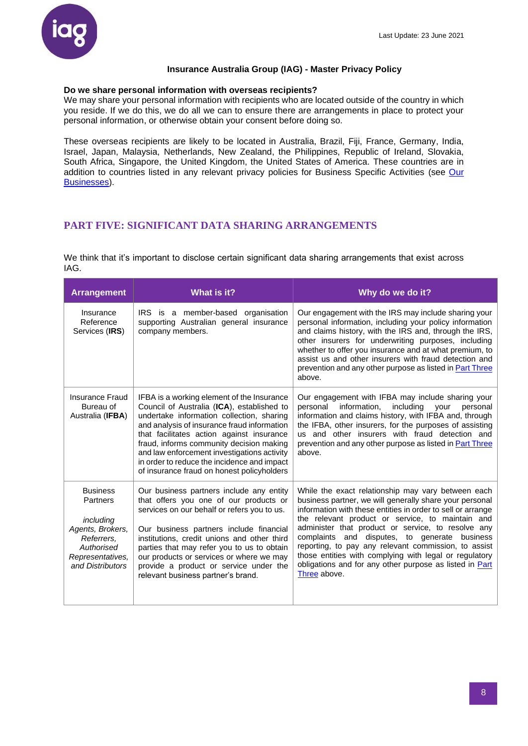#### **Do we share personal information with overseas recipients?**

We may share your personal information with recipients who are located outside of the country in which you reside. If we do this, we do all we can to ensure there are arrangements in place to protect your personal information, or otherwise obtain your consent before doing so.

These overseas recipients are likely to be located in Australia, Brazil, Fiji, France, Germany, India, Israel, Japan, Malaysia, Netherlands, New Zealand, the Philippines, Republic of Ireland, Slovakia, South Africa, Singapore, the United Kingdom, the United States of America. These countries are in addition to countries listed in any relevant privacy policies for Business Specific Activities (see Our [Businesses\)](#page-10-0).

# <span id="page-7-0"></span>**PART FIVE: SIGNIFICANT DATA SHARING ARRANGEMENTS**

We think that it's important to disclose certain significant data sharing arrangements that exist across IAG.

| <b>Arrangement</b>                                                                                                               | What is it?                                                                                                                                                                                                                                                                                                                                                                                                               | Why do we do it?                                                                                                                                                                                                                                                                                                                                                                                                                                                                                                                     |
|----------------------------------------------------------------------------------------------------------------------------------|---------------------------------------------------------------------------------------------------------------------------------------------------------------------------------------------------------------------------------------------------------------------------------------------------------------------------------------------------------------------------------------------------------------------------|--------------------------------------------------------------------------------------------------------------------------------------------------------------------------------------------------------------------------------------------------------------------------------------------------------------------------------------------------------------------------------------------------------------------------------------------------------------------------------------------------------------------------------------|
| Insurance<br>Reference<br>Services (IRS)                                                                                         | IRS is a member-based organisation<br>supporting Australian general insurance<br>company members.                                                                                                                                                                                                                                                                                                                         | Our engagement with the IRS may include sharing your<br>personal information, including your policy information<br>and claims history, with the IRS and, through the IRS,<br>other insurers for underwriting purposes, including<br>whether to offer you insurance and at what premium, to<br>assist us and other insurers with fraud detection and<br>prevention and any other purpose as listed in Part Three<br>above.                                                                                                            |
| <b>Insurance Fraud</b><br>Bureau of<br>Australia (IFBA)                                                                          | IFBA is a working element of the Insurance<br>Council of Australia (ICA), established to<br>undertake information collection, sharing<br>and analysis of insurance fraud information<br>that facilitates action against insurance<br>fraud, informs community decision making<br>and law enforcement investigations activity<br>in order to reduce the incidence and impact<br>of insurance fraud on honest policyholders | Our engagement with IFBA may include sharing your<br>personal<br>information,<br>including<br>personal<br>your<br>information and claims history, with IFBA and, through<br>the IFBA, other insurers, for the purposes of assisting<br>us and other insurers with fraud detection and<br>prevention and any other purpose as listed in <b>Part Three</b><br>above.                                                                                                                                                                   |
| <b>Business</b><br>Partners<br>including<br>Agents, Brokers,<br>Referrers.<br>Authorised<br>Representatives,<br>and Distributors | Our business partners include any entity<br>that offers you one of our products or<br>services on our behalf or refers you to us.<br>Our business partners include financial<br>institutions, credit unions and other third<br>parties that may refer you to us to obtain<br>our products or services or where we may<br>provide a product or service under the<br>relevant business partner's brand.                     | While the exact relationship may vary between each<br>business partner, we will generally share your personal<br>information with these entities in order to sell or arrange<br>the relevant product or service, to maintain and<br>administer that product or service, to resolve any<br>complaints and disputes, to generate business<br>reporting, to pay any relevant commission, to assist<br>those entities with complying with legal or regulatory<br>obligations and for any other purpose as listed in Part<br>Three above. |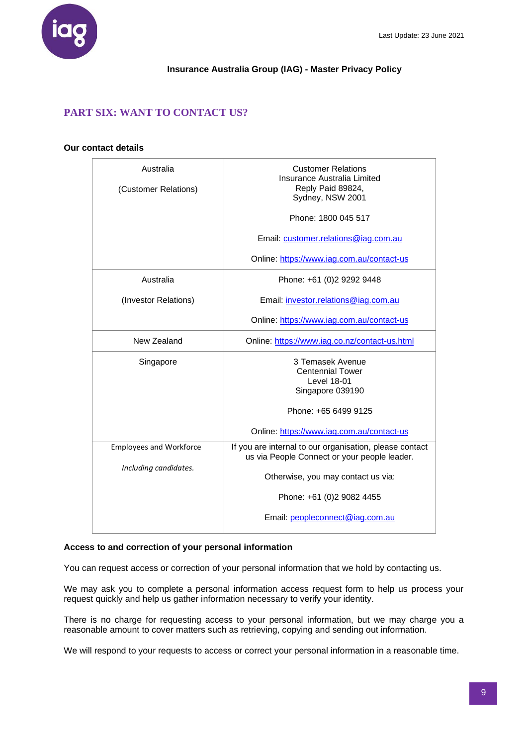

# **PART SIX: WANT TO CONTACT US?**

#### **Our contact details**

| Australia                      | <b>Customer Relations</b><br>Insurance Australia Limited |  |
|--------------------------------|----------------------------------------------------------|--|
| (Customer Relations)           | Reply Paid 89824,                                        |  |
|                                | Sydney, NSW 2001                                         |  |
|                                |                                                          |  |
|                                | Phone: 1800 045 517                                      |  |
|                                |                                                          |  |
|                                | Email: customer.relations@iag.com.au                     |  |
|                                |                                                          |  |
|                                | Online: https://www.iag.com.au/contact-us                |  |
| Australia                      | Phone: +61 (0)2 9292 9448                                |  |
|                                |                                                          |  |
| (Investor Relations)           | Email: investor.relations@iag.com.au                     |  |
|                                |                                                          |  |
|                                | Online: https://www.iag.com.au/contact-us                |  |
|                                |                                                          |  |
| New Zealand                    | Online: https://www.iag.co.nz/contact-us.html            |  |
|                                | 3 Temasek Avenue                                         |  |
| Singapore                      | <b>Centennial Tower</b>                                  |  |
|                                | <b>Level 18-01</b>                                       |  |
|                                | Singapore 039190                                         |  |
|                                |                                                          |  |
|                                | Phone: +65 6499 9125                                     |  |
|                                |                                                          |  |
|                                | Online: https://www.iag.com.au/contact-us                |  |
| <b>Employees and Workforce</b> | If you are internal to our organisation, please contact  |  |
|                                | us via People Connect or your people leader.             |  |
| Including candidates.          |                                                          |  |
|                                | Otherwise, you may contact us via:                       |  |
|                                |                                                          |  |
|                                | Phone: +61 (0)2 9082 4455                                |  |
|                                | Email: peopleconnect@iag.com.au                          |  |
|                                |                                                          |  |

## **Access to and correction of your personal information**

You can request access or correction of your personal information that we hold by contacting us.

We may ask you to complete a personal information access request form to help us process your request quickly and help us gather information necessary to verify your identity.

There is no charge for requesting access to your personal information, but we may charge you a reasonable amount to cover matters such as retrieving, copying and sending out information.

We will respond to your requests to access or correct your personal information in a reasonable time.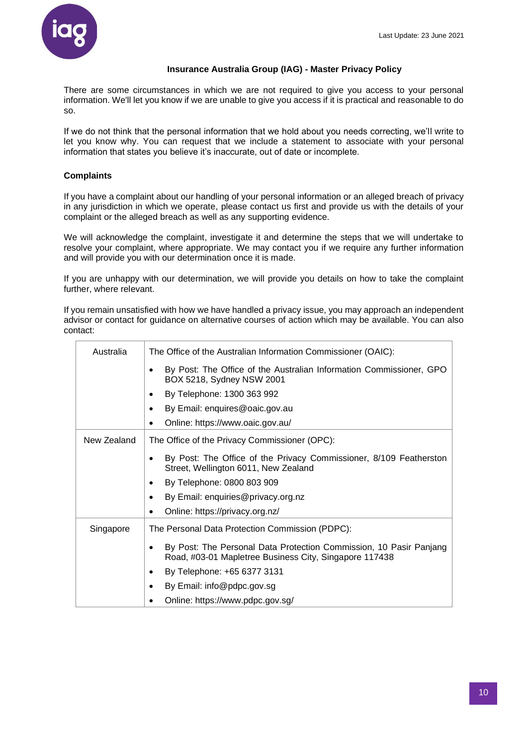

There are some circumstances in which we are not required to give you access to your personal information. We'll let you know if we are unable to give you access if it is practical and reasonable to do so.

If we do not think that the personal information that we hold about you needs correcting, we'll write to let you know why. You can request that we include a statement to associate with your personal information that states you believe it's inaccurate, out of date or incomplete.

## **Complaints**

If you have a complaint about our handling of your personal information or an alleged breach of privacy in any jurisdiction in which we operate, please contact us first and provide us with the details of your complaint or the alleged breach as well as any supporting evidence.

We will acknowledge the complaint, investigate it and determine the steps that we will undertake to resolve your complaint, where appropriate. We may contact you if we require any further information and will provide you with our determination once it is made.

If you are unhappy with our determination, we will provide you details on how to take the complaint further, where relevant.

If you remain unsatisfied with how we have handled a privacy issue, you may approach an independent advisor or contact for guidance on alternative courses of action which may be available. You can also contact:

| Australia   | The Office of the Australian Information Commissioner (OAIC):                                                                |  |  |  |  |
|-------------|------------------------------------------------------------------------------------------------------------------------------|--|--|--|--|
|             | By Post: The Office of the Australian Information Commissioner, GPO<br>٠<br>BOX 5218, Sydney NSW 2001                        |  |  |  |  |
|             | By Telephone: 1300 363 992<br>٠                                                                                              |  |  |  |  |
|             | By Email: enquires@oaic.gov.au                                                                                               |  |  |  |  |
|             | Online: https://www.oaic.gov.au/                                                                                             |  |  |  |  |
| New Zealand | The Office of the Privacy Commissioner (OPC):                                                                                |  |  |  |  |
|             | By Post: The Office of the Privacy Commissioner, 8/109 Featherston<br>Street, Wellington 6011, New Zealand                   |  |  |  |  |
|             | By Telephone: 0800 803 909<br>٠                                                                                              |  |  |  |  |
|             | By Email: enquiries@privacy.org.nz                                                                                           |  |  |  |  |
|             | Online: https://privacy.org.nz/<br>٠                                                                                         |  |  |  |  |
| Singapore   | The Personal Data Protection Commission (PDPC):                                                                              |  |  |  |  |
|             | By Post: The Personal Data Protection Commission, 10 Pasir Panjang<br>Road, #03-01 Mapletree Business City, Singapore 117438 |  |  |  |  |
|             | By Telephone: +65 6377 3131<br>٠                                                                                             |  |  |  |  |
|             | By Email: info@pdpc.gov.sg                                                                                                   |  |  |  |  |
|             | Online: https://www.pdpc.gov.sg/                                                                                             |  |  |  |  |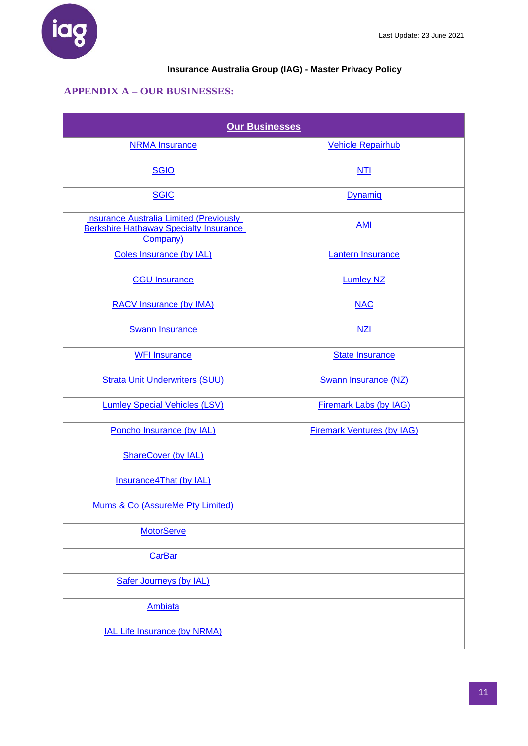

# <span id="page-10-0"></span>**APPENDIX A – OUR BUSINESSES:**

| <b>Our Businesses</b>                                                                                       |                                   |  |  |  |
|-------------------------------------------------------------------------------------------------------------|-----------------------------------|--|--|--|
| <b>NRMA Insurance</b>                                                                                       | <b>Vehicle Repairhub</b>          |  |  |  |
| <b>SGIO</b>                                                                                                 | NTI                               |  |  |  |
| <b>SGIC</b>                                                                                                 | Dynamiq                           |  |  |  |
| <b>Insurance Australia Limited (Previously</b><br><b>Berkshire Hathaway Specialty Insurance</b><br>Company) | <b>AMI</b>                        |  |  |  |
| Coles Insurance (by IAL)                                                                                    | <b>Lantern Insurance</b>          |  |  |  |
| <b>CGU Insurance</b>                                                                                        | <b>Lumley NZ</b>                  |  |  |  |
| <b>RACV Insurance (by IMA)</b>                                                                              | <b>NAC</b>                        |  |  |  |
| <b>Swann Insurance</b>                                                                                      | NZI                               |  |  |  |
| <b>WFI Insurance</b>                                                                                        | <b>State Insurance</b>            |  |  |  |
| <b>Strata Unit Underwriters (SUU)</b>                                                                       | <b>Swann Insurance (NZ)</b>       |  |  |  |
| <b>Lumley Special Vehicles (LSV)</b>                                                                        | <b>Firemark Labs (by IAG)</b>     |  |  |  |
| Poncho Insurance (by IAL)                                                                                   | <b>Firemark Ventures (by IAG)</b> |  |  |  |
| <b>ShareCover (by IAL)</b>                                                                                  |                                   |  |  |  |
| Insurance4That (by IAL)                                                                                     |                                   |  |  |  |
| Mums & Co (AssureMe Pty Limited)                                                                            |                                   |  |  |  |
| <b>MotorServe</b>                                                                                           |                                   |  |  |  |
| <b>CarBar</b>                                                                                               |                                   |  |  |  |
| <b>Safer Journeys (by IAL)</b>                                                                              |                                   |  |  |  |
| <b>Ambiata</b>                                                                                              |                                   |  |  |  |
| <b>IAL Life Insurance (by NRMA)</b>                                                                         |                                   |  |  |  |